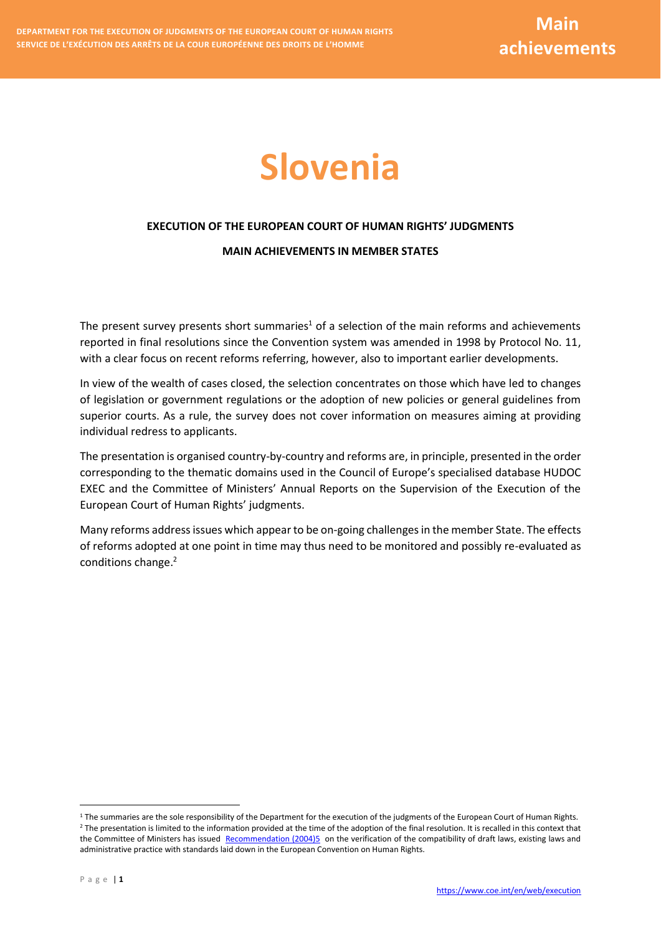# **Slovenia**

# **EXECUTION OF THE EUROPEAN COURT OF HUMAN RIGHTS' JUDGMENTS**

## **MAIN ACHIEVEMENTS IN MEMBER STATES**

The present survey presents short summaries<sup>1</sup> of a selection of the main reforms and achievements reported in final resolutions since the Convention system was amended in 1998 by Protocol No. 11, with a clear focus on recent reforms referring, however, also to important earlier developments.

In view of the wealth of cases closed, the selection concentrates on those which have led to changes of legislation or government regulations or the adoption of new policies or general guidelines from superior courts. As a rule, the survey does not cover information on measures aiming at providing individual redress to applicants.

The presentation is organised country-by-country and reforms are, in principle, presented in the order corresponding to the thematic domains used in the Council of Europe's specialised database HUDOC EXEC and the Committee of Ministers' Annual Reports on the Supervision of the Execution of the European Court of Human Rights' judgments.

Many reforms address issues which appear to be on-going challenges in the member State. The effects of reforms adopted at one point in time may thus need to be monitored and possibly re-evaluated as conditions change. 2

<u>.</u>

 $1$  The summaries are the sole responsibility of the Department for the execution of the judgments of the European Court of Human Rights. <sup>2</sup> The presentation is limited to the information provided at the time of the adoption of the final resolution. It is recalled in this context that the Committee of Ministers has issued [Recommendation \(2004\)5](https://search.coe.int/cm/Pages/result_details.aspx?ObjectID=09000016805dd194) on the verification of the compatibility of draft laws, existing laws and administrative practice with standards laid down in the European Convention on Human Rights.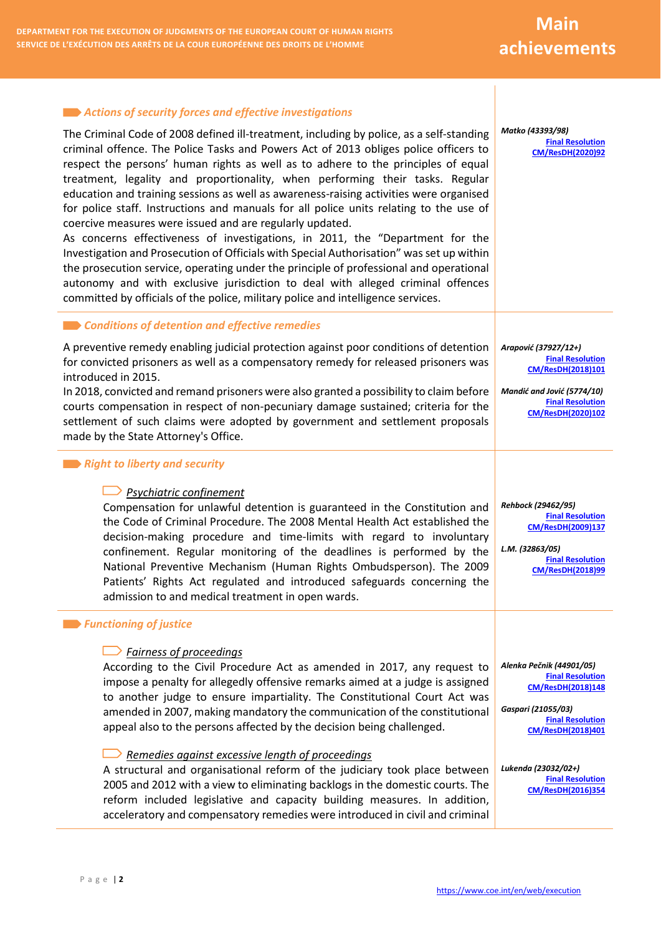#### *Actions of security forces and effective investigations* The Criminal Code of 2008 defined ill-treatment, including by police, as a self-standing criminal offence. The Police Tasks and Powers Act of 2013 obliges police officers to respect the persons' human rights as well as to adhere to the principles of equal treatment, legality and proportionality, when performing their tasks. Regular education and training sessions as well as awareness-raising activities were organised for police staff. Instructions and manuals for all police units relating to the use of coercive measures were issued and are regularly updated. As concerns effectiveness of investigations, in 2011, the "Department for the Investigation and Prosecution of Officials with Special Authorisation" was set up within the prosecution service, operating under the principle of professional and operational autonomy and with exclusive jurisdiction to deal with alleged criminal offences committed by officials of the police, military police and intelligence services. *Matko (43393/98)* **[Final Resolution](http://hudoc.exec.coe.int/ENG?i=001-203336)  [CM/ResDH\(2020\)92](http://hudoc.exec.coe.int/ENG?i=001-203336) Example 2 Conditions of detention and effective remedies** A preventive remedy enabling judicial protection against poor conditions of detention for convicted prisoners as well as a compensatory remedy for released prisoners was introduced in 2015. In 2018, convicted and remand prisoners were also granted a possibility to claim before courts compensation in respect of non-pecuniary damage sustained; criteria for the settlement of such claims were adopted by government and settlement proposals made by the State Attorney's Office. *Arapović (37927/12+)* **[Final Resolution](http://hudoc.echr.coe.int/eng?i=001-182038)  [CM/ResDH\(2018\)101](http://hudoc.echr.coe.int/eng?i=001-182038)** *Mandić and Jović (5774/10)* **[Final Resolution](http://hudoc.exec.coe.int/ENG?i=001-203100)  [CM/ResDH\(2020\)102](http://hudoc.exec.coe.int/ENG?i=001-203100) Right to liberty and security** *Psychiatric confinement* Compensation for unlawful detention is guaranteed in the Constitution and the Code of Criminal Procedure. The 2008 Mental Health Act established the decision-making procedure and time-limits with regard to involuntary confinement. Regular monitoring of the deadlines is performed by the National Preventive Mechanism (Human Rights Ombudsperson). The 2009 Patients' Rights Act regulated and introduced safeguards concerning the admission to and medical treatment in open wards. *Rehbock (29462/95)* **[Final Resolution](http://hudoc.echr.coe.int/eng?i=001-96979)  [CM/ResDH\(2009\)137](http://hudoc.echr.coe.int/eng?i=001-96979)** *L.M. (32863/05)* **[Final Resolution](http://hudoc.echr.coe.int/eng?i=001-181956)  [CM/ResDH\(2018\)99](http://hudoc.echr.coe.int/eng?i=001-181956)** *Functioning of justice Fairness of proceedings* According to the Civil Procedure Act as amended in 2017, any request to impose a penalty for allegedly offensive remarks aimed at a judge is assigned to another judge to ensure impartiality. The Constitutional Court Act was amended in 2007, making mandatory the communication of the constitutional appeal also to the persons affected by the decision being challenged. *Remedies against excessive length of proceedings* A structural and organisational reform of the judiciary took place between 2005 and 2012 with a view to eliminating backlogs in the domestic courts. The reform included legislative and capacity building measures. In addition, *Alenka Pečnik (44901/05)* **[Final Resolution](http://hudoc.echr.coe.int/eng?i=001-182407)  [CM/ResDH\(2018\)148](http://hudoc.echr.coe.int/eng?i=001-182407)** *Gaspari (21055/03)* **[Final Resolution](http://hudoc.exec.coe.int/eng?i=001-187613)  [CM/ResDH\(2018\)401](http://hudoc.exec.coe.int/eng?i=001-187613)** *Lukenda (23032/02+)* **[Final Resolution](http://hudoc.exec.coe.int/eng?i=001-170005)  [CM/ResDH\(2016\)354](http://hudoc.exec.coe.int/eng?i=001-170005)**

acceleratory and compensatory remedies were introduced in civil and criminal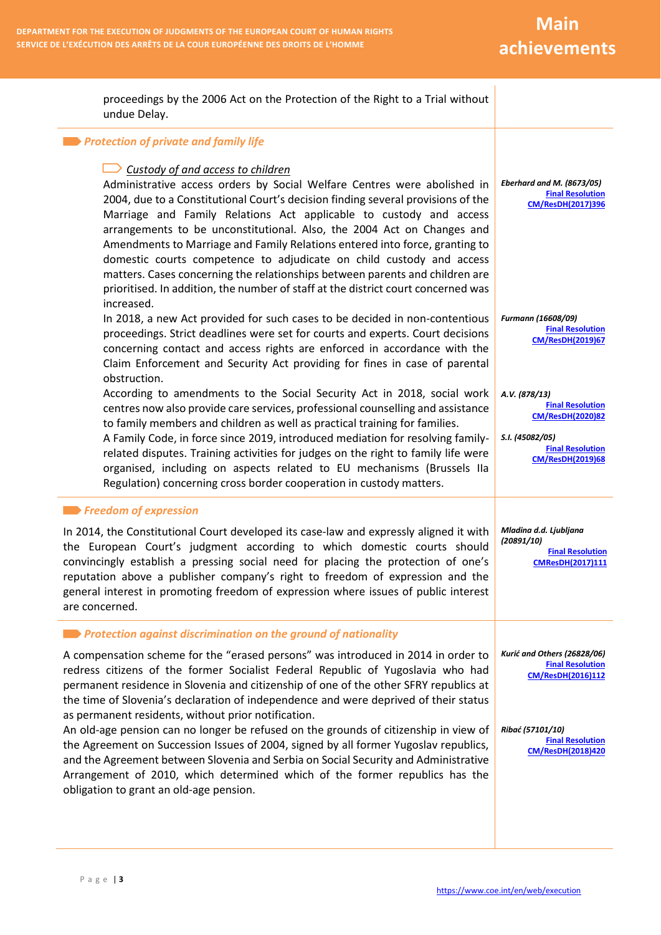**Main achievements**

| proceedings by the 2006 Act on the Protection of the Right to a Trial without<br>undue Delay.                                                                                                                                                                                                                                                                                                                                                                                                                                                                                                                                                                                               |                                                                                                                                              |
|---------------------------------------------------------------------------------------------------------------------------------------------------------------------------------------------------------------------------------------------------------------------------------------------------------------------------------------------------------------------------------------------------------------------------------------------------------------------------------------------------------------------------------------------------------------------------------------------------------------------------------------------------------------------------------------------|----------------------------------------------------------------------------------------------------------------------------------------------|
| Protection of private and family life                                                                                                                                                                                                                                                                                                                                                                                                                                                                                                                                                                                                                                                       |                                                                                                                                              |
| Custody of and access to children<br>Administrative access orders by Social Welfare Centres were abolished in<br>2004, due to a Constitutional Court's decision finding several provisions of the<br>Marriage and Family Relations Act applicable to custody and access<br>arrangements to be unconstitutional. Also, the 2004 Act on Changes and<br>Amendments to Marriage and Family Relations entered into force, granting to<br>domestic courts competence to adjudicate on child custody and access<br>matters. Cases concerning the relationships between parents and children are<br>prioritised. In addition, the number of staff at the district court concerned was<br>increased. | Eberhard and M. (8673/05)<br><b>Final Resolution</b><br>CM/ResDH(2017)396                                                                    |
| In 2018, a new Act provided for such cases to be decided in non-contentious<br>proceedings. Strict deadlines were set for courts and experts. Court decisions<br>concerning contact and access rights are enforced in accordance with the<br>Claim Enforcement and Security Act providing for fines in case of parental<br>obstruction.                                                                                                                                                                                                                                                                                                                                                     | Furmann (16608/09)<br><b>Final Resolution</b><br><b>CM/ResDH(2019)67</b>                                                                     |
| According to amendments to the Social Security Act in 2018, social work<br>centres now also provide care services, professional counselling and assistance<br>to family members and children as well as practical training for families.<br>A Family Code, in force since 2019, introduced mediation for resolving family-<br>related disputes. Training activities for judges on the right to family life were<br>organised, including on aspects related to EU mechanisms (Brussels IIa<br>Regulation) concerning cross border cooperation in custody matters.                                                                                                                            | A.V. (878/13)<br><b>Final Resolution</b><br><b>CM/ResDH(2020)82</b><br>S.I. (45082/05)<br><b>Final Resolution</b><br><b>CM/ResDH(2019)68</b> |
| <b>Expression</b> of expression<br>In 2014, the Constitutional Court developed its case-law and expressly aligned it with<br>the European Court's judgment according to which domestic courts should<br>convincingly establish a pressing social need for placing the protection of one's<br>reputation above a publisher company's right to freedom of expression and the<br>general interest in promoting freedom of expression where issues of public interest<br>are concerned.                                                                                                                                                                                                         | Mladina d.d. Ljubljana<br>(20891/10)<br><b>Final Resolution</b><br><b>CMResDH(2017)111</b>                                                   |
| <b>Example: Protection against discrimination on the ground of nationality</b>                                                                                                                                                                                                                                                                                                                                                                                                                                                                                                                                                                                                              |                                                                                                                                              |
| A compensation scheme for the "erased persons" was introduced in 2014 in order to<br>redress citizens of the former Socialist Federal Republic of Yugoslavia who had<br>permanent residence in Slovenia and citizenship of one of the other SFRY republics at<br>the time of Slovenia's declaration of independence and were deprived of their status                                                                                                                                                                                                                                                                                                                                       | Kurić and Others (26828/06)<br><b>Final Resolution</b><br>CM/ResDH(2016)112                                                                  |
| as permanent residents, without prior notification.<br>An old-age pension can no longer be refused on the grounds of citizenship in view of<br>the Agreement on Succession Issues of 2004, signed by all former Yugoslav republics,<br>and the Agreement between Slovenia and Serbia on Social Security and Administrative<br>Arrangement of 2010, which determined which of the former republics has the<br>obligation to grant an old-age pension.                                                                                                                                                                                                                                        | Ribać (57101/10)<br><b>Final Resolution</b><br><b>CM/ResDH(2018)420</b>                                                                      |

P a g e | **3**